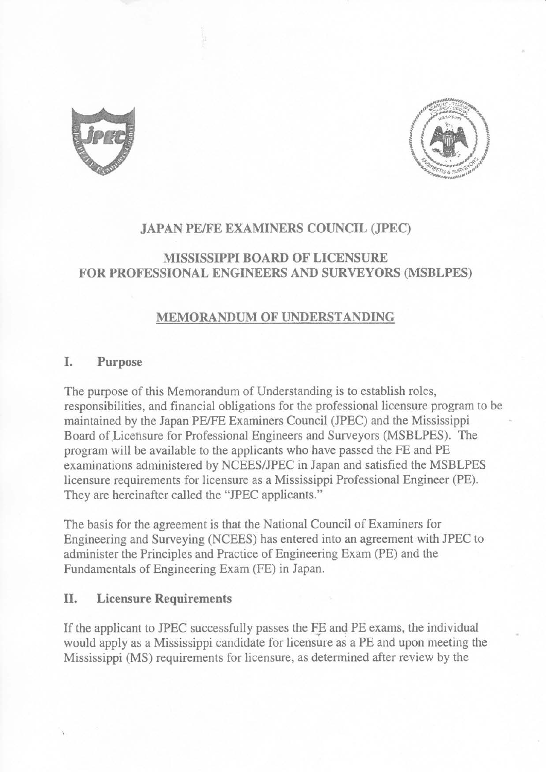



### **JAPAN PE/FE EXAMINERS COUNCIL (JPEC)**

# MISSISSIPPI BOARD OF LICENSURE FOR PROFESSIONAL ENGINEERS AND SURVEYORS (MSBLPES)

## **MEMORANDUM OF UNDERSTANDING**

#### I. Purpose

The purpose of this Memorandum of Understanding is to establish roles, responsibilities, and financial obligations for the professional licensure program to be maintained by the Japan PE/FE Examiners Council (JPEC) and the Mississippi Board of Licensure for Professional Engineers and Surveyors (MSBLPES). The program will be available to the applicants who have passed the FE and PE examinations administered by NCEES/JPEC in Japan and satisfied the MSBLPES licensure requirements for licensure as a Mississippi Professional Engineer (PE). They are hereinafter called the "JPEC applicants."

The basis for the agreement is that the National Council of Examiners for Engineering and Surveying (NCEES) has entered into an agreement with JPEC to administer the Principles and Practice of Engineering Exam (PE) and the Fundamentals of Engineering Exam (FE) in Japan.

#### II. **Licensure Requirements**

If the applicant to JPEC successfully passes the FE and PE exams, the individual would apply as a Mississippi candidate for licensure as a PE and upon meeting the Mississippi (MS) requirements for licensure, as determined after review by the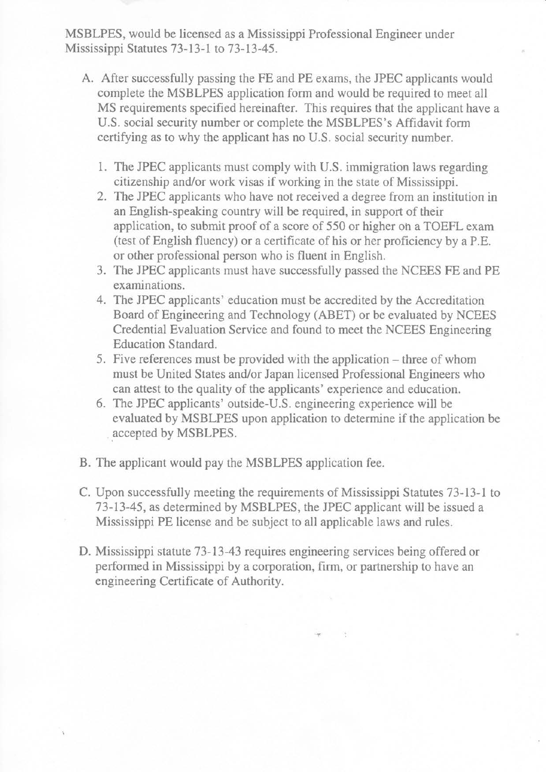MSBLPES, would be licensed as a Mississippi Professional Engineer under Mississippi Statutes 73-13-1 to 73-13-45.

- A. After successfully passing the FE and PE exams, the JPEC applicants would complete the MSBLPES application form and would be required to meet all MS requirements specified hereinafter. This requires that the applicant have a U.S. social security number or complete the MSBLPES's Affidavit form certifying as to why the applicant has no U.S. social security number.
	- 1. The JPEC applicants must comply with U.S. immigration laws regarding citizenship and/or work visas if working in the state of Mississippi.
	- 2. The JPEC applicants who have not received a degree from an institution in an English-speaking country will be required, in support of their application, to submit proof of a score of 550 or higher on a TOEFL exam (test of English fluency) or a certificate of his or her proficiency by a P.E. or other professional person who is fluent in English.
	- 3. The JPEC applicants must have successfully passed the NCEES FE and PE examinations.
	- 4. The JPEC applicants' education must be accredited by the Accreditation Board of Engineering and Technology (ABET) or be evaluated by NCEES Credential Evaluation Service and found to meet the NCEES Engineering Education Standard.
	- 5. Five references must be provided with the application three of whom must be United States and/or Japan licensed Professional Engineers who can attest to the quality of the applicants' experience and education.
	- 6. The JPEC applicants' outside-U.S. engineering experience will be evaluated by MSBLPES upon application to determine if the application be accepted by MSBLPES.
- B. The applicant would pay the MSBLPES application fee.
- C. Upon successfully meeting the requirements of Mississippi Statutes 73-13-1 to 73-13-45, as determined by MSBLPES, the JPEC applicant will be issued a Mississippi PE license and be subject to all applicable laws and rules.
- D. Mississippi statute 73-13-43 requires engineering services being offered or performed in Mississippi by a corporation, firm, or partnership to have an engineering Certificate of Authority.